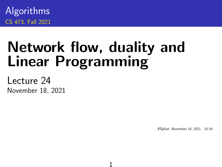Algorithms CS 473, Fall 2021

# Network flow, duality and Linear Programming

1

Lecture 24 November 18, 2021

<sup>L</sup>ATEXed: November 18, 2021 15:16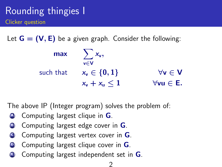### Rounding thingies I Clicker question

Let  $G = (V, E)$  be a given graph. Consider the following:

| max       | $\sum x_{v}$<br>v∈V |                       |
|-----------|---------------------|-----------------------|
| such that | $x_v \in \{0, 1\}$  | $\forall v \in V$     |
|           | $x_v + x_u \leq 1$  | $\forall$ vu $\in$ E. |

The above IP (Integer program) solves the problem of:

- Computing largest clique in  $G$ .
- **B** Computing largest edge cover in **G**.
- $\bullet$  Computing largest vertex cover in **G**.
- $\bullet$  Computing largest clique cover in **G**.
- $\bullet$  Computing largest independent set in  $\mathsf G$ .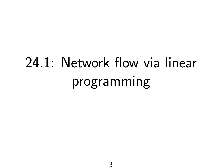# 24.1: Network flow via linear programming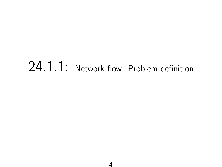# 24.1.1: Network flow: Problem definition

4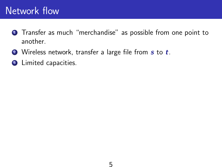### Network flow

- **1** Transfer as much "merchandise" as possible from one point to another.
- $\bullet$  Wireless network, transfer a large file from  $s$  to  $t$ .
- **3** Limited capacities.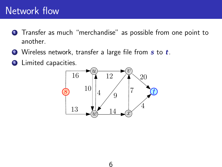### Network flow

- Transfer as much "merchandise" as possible from one point to another.
- $\bullet$  Wireless network, transfer a large file from  $s$  to  $t$ .
- Limited capacities.

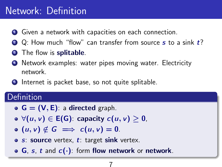### Network: Definition

- **1** Given a network with capacities on each connection.
- $\bullet$  Q: How much "flow" can transfer from source s to a sink  $t$ ?
- **3** The flow is **splitable**.
- <sup>4</sup> Network examples: water pipes moving water. Electricity network.
- **•** Internet is packet base, so not quite splitable.

#### Definition

- $G = (V, E)$ : a directed graph.
- $\forall (u, v) \in E(G)$ : capacity  $c(u, v) \geq 0$ ,
- $\bullet$  (u, v)  $\notin G \implies c(u, v) = 0.$
- $\bullet$  s: source vertex, t: target sink vertex.
- $\bullet$  G, s, t and  $c(\cdot)$ : form flow network or network.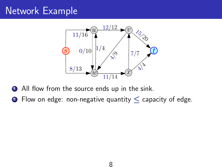## Network Example



- **1** All flow from the source ends up in the sink.
- 2 Flow on edge: non-negative quantity  $\leq$  capacity of edge.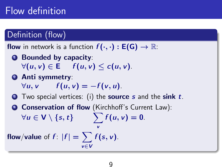## Flow definition

### Definition (flow)

**flow** in network is a function  $f(\cdot, \cdot) : E(G) \to \mathbb{R}$ :

- **1** Bounded by capacity:  $\forall (u, v) \in \mathsf{E}$   $f(u, v) \leq c(u, v)$ .
- **2** Anti symmetry:  $\forall u, v \quad f(u, v) = -f(v, u).$
- $\bullet$  Two special vertices: (i) the **source** s and the sink t.

v

**4 Conservation of flow** (Kirchhoff's Current Law):  $\forall u \in V \setminus \{s, t\}$   $\qquad \sum f(u, v) = 0.$ 

flow/value of  $f$ :  $|f| = \sum f(s, v)$ . v∈V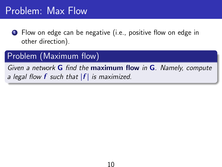### Problem: Max Flow

**1** Flow on edge can be negative (i.e., positive flow on edge in other direction).

### Problem (Maximum flow)

Given a network  $G$  find the maximum flow in  $G$ . Namely, compute a legal flow **f** such that  $|f|$  is maximized.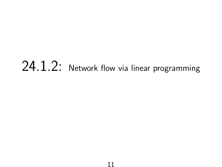# 24.1.2: Network flow via linear programming

11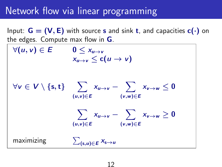### Network flow via linear programming

Input:  $G = (V, E)$  with source s and sink t, and capacities  $c(\cdot)$  on the edges. Compute max flow in G.  $\forall (u, v) \in E \qquad 0 \leq x_{u \to v}$  $x_{u\rightarrow v} < c(u \rightarrow v)$  $\forall v \in V \setminus \{\mathrm{s},\mathrm{t}\} \quad \sum_{u \to v} x_{u \to v} - \sum_{v \to w} x_{v \to w} \leq 0$  $(u,v) \in E$  $(v,w) \in E$  $\sum_{w \to v} x_{w \to w} - \sum_{w \to w} x_{w \to w} \ge 0$ (u,v)∈E (v,w)∈E maximizing P (s,u)∈E  $x_{s\rightarrow u}$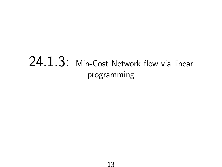# 24.1.3: Min-Cost Network flow via linear programming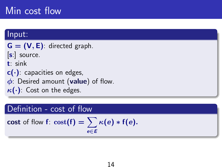### Min cost flow

#### Input:

 $G = (V, E)$ : directed graph.  $|s|$  source. t: sink  $c(\cdot)$ : capacities on edges,  $\phi$ : Desired amount (value) of flow.  $\kappa(\cdot)$ : Cost on the edges.

#### Definition - cost of flow

cost of flow  $f$ :  $cost(f) = \sum \kappa(e) * f(e)$ . e∈E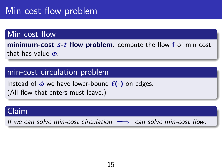## Min cost flow problem

#### Min-cost flow

minimum-cost  $s$ -t flow problem: compute the flow  $f$  of min cost that has value  $\phi$ .

#### min-cost circulation problem

Instead of  $\phi$  we have lower-bound  $\ell(\cdot)$  on edges. (All flow that enters must leave.)

#### Claim

If we can solve min-cost circulation  $\implies$  can solve min-cost flow.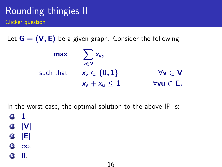### Rounding thingies II Clicker question

Let  $G = (V, E)$  be a given graph. Consider the following:

| max       | $\sum x_{v}$             |                       |
|-----------|--------------------------|-----------------------|
| such that | v∈V<br>$x_v \in \{0,1\}$ | $\forall v \in V$     |
|           | $x_v + x_u \leq 1$       | $\forall$ vu $\in$ E. |

16

In the worst case, the optimal solution to the above IP is:



- (C) |E|
- $\bullet$   $\infty$ .

 $\mathbf{0}$ .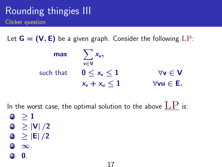### Rounding thingies III Clicker question

Let  $G = (V, E)$  be a given graph. Consider the following  $LP$ :

| max       | $\sum x_{v}$<br>v∈V   |                       |
|-----------|-----------------------|-----------------------|
| such that | $0 \leq x_{v} \leq 1$ | $\forall v \in V$     |
|           | $x_v + x_u \leq 1$    | $\forall$ vu $\in$ E. |

17

In the worst case, the optimal solution to the above  $\mathrm{LP}$  is:

- $(A) > 1$
- $\bullet$   $\geq$   $|V|/2$
- $\odot$  > |E| /2
- $\bullet$   $\infty$ .
- $\mathbf{0}$ .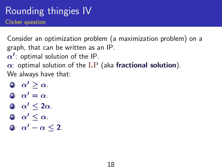### Rounding thingies IV Clicker question

Consider an optimization problem (a maximization problem) on a graph, that can be written as an IP.

 $\alpha^{\prime}$ : optimal solution of the IP.

 $\alpha$ : optimal solution of the LP (aka fractional solution). We always have that:

- $\alpha' > \alpha$ .
- $\alpha' = \alpha$ .
- $\bullet \ \alpha' \leq 2\alpha$ .
- $\mathbf{0} \quad \alpha' \leq \alpha$ .
- $\mathbf{0} \quad \alpha' \alpha < 2.$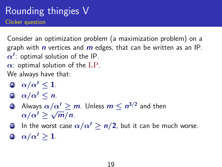### Rounding thingies V Clicker question

Consider an optimization problem (a maximization problem) on a graph with *n* vertices and *m* edges, that can be written as an IP.  $\alpha^{\prime}$ : optimal solution of the IP.  $\alpha$ : optimal solution of the LP.

We always have that:

- $\omega/\alpha' \leq 1$ .
- $\Theta$   $\alpha/\alpha' \leq n$ .
- **(C**) Always  $\alpha/\alpha' \ge m$ . Unless  $m \le n^{3/2}$  and then  $\alpha/\alpha' \geq \sqrt{m}/n$ .
- **D** In the worst case  $\alpha/\alpha' > n/2$ , but it can be much worse.
- $\omega/\alpha' > 1$ .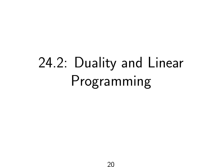# 24.2: Duality and Linear Programming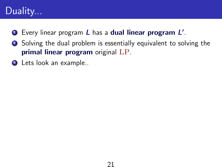### Duality...

- **D** Every linear program  $L$  has a dual linear program  $L'$ .
- <sup>2</sup> Solving the dual problem is essentially equivalent to solving the primal linear program original LP.
- **3** Lets look an example..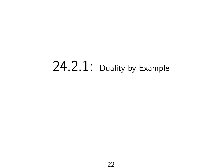# 24.2.1: Duality by Example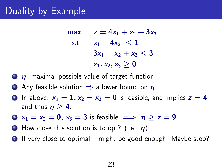### Duality by Example

| max  | $z = 4x_1 + x_2 + 3x_3$   |
|------|---------------------------|
| s.t. | $x_1 + 4x_2 \leq 1$       |
|      | $3x_1 - x_2 + x_3 \leq 3$ |
|      | $x_1, x_2, x_3 \ge 0$     |

- $\bullet$   $\eta$ : maximal possible value of target function.
- 2 Any feasible solution  $\Rightarrow$  a lower bound on  $\eta$ .
- **3** In above:  $x_1 = 1$ ,  $x_2 = x_3 = 0$  is feasible, and implies  $z = 4$ and thus  $\eta > 4$ .
- $\bullet$   $x_1 = x_2 = 0$ ,  $x_3 = 3$  is feasible  $\implies \eta > z = 9$ .
- **5** How close this solution is to opt? (i.e.,  $\eta$ )
- $\bullet$  If very close to optimal might be good enough. Maybe stop?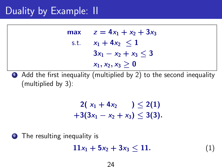max  $z = 4x_1 + x_2 + 3x_3$ s.t.  $x_1 + 4x_2 < 1$  $3x_1 - x_2 + x_3 < 3$  $x_1, x_2, x_3 > 0$ 

 $\bullet$  Add the first inequality (multiplied by 2) to the second inequality (multiplied by 3):

$$
2(x_1+4x_2) \le 2(1) +3(3x_1-x_2+x_3) \le 3(3).
$$

**2** The resulting inequality is

```
11x_1 + 5x_2 + 3x_3 \le 11. (1)
```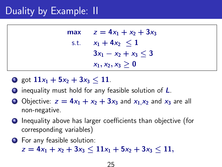| max  | $z = 4x_1 + x_2 + 3x_3$   |
|------|---------------------------|
| s.t. | $x_1 + 4x_2 \leq 1$       |
|      | $3x_1 - x_2 + x_3 \leq 3$ |
|      | $x_1, x_2, x_3 \ge 0$     |

- **1** got  $11x_1 + 5x_2 + 3x_3 < 11$ .
- **2** inequality must hold for any feasible solution of **L**.
- Objective:  $z = 4x_1 + x_2 + 3x_3$  and  $x_1, x_2$  and  $x_3$  are all non-negative.
- **4** Inequality above has larger coefficients than objective (for corresponding variables)
- **5** For any feasible solution:

 $z = 4x_1 + x_2 + 3x_3 < 11x_1 + 5x_2 + 3x_3 < 11$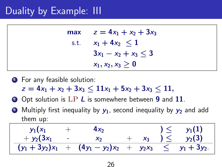max  $z = 4x_1 + x_2 + 3x_3$ s.t.  $x_1 + 4x_2 < 1$  $3x_1 - x_2 + x_3 < 3$  $x_1, x_2, x_3 > 0$ 

- **1** For any feasible solution:
	- $z = 4x_1 + x_2 + 3x_3 \le 11x_1 + 5x_2 + 3x_3 \le 11$
- **2** Opt solution is LP L is somewhere between 9 and 11.
- $\bullet$  Multiply first inequality by  $y_1$ , second inequality by  $y_2$  and add them up:

| $y_1(x_1)$        |                          |                                |       |                      | $y_1(1)$     |
|-------------------|--------------------------|--------------------------------|-------|----------------------|--------------|
| + $y_2(3x_1)$     | <b>Contract Contract</b> | $X_2$                          | $X_3$ | $\geq$               | $y_2(3)$     |
| $(y_1 + 3y_2)x_1$ |                          | $+$ $(4y_1 - y_2)x_2 + y_2x_3$ |       | $\sim$ $\leq$ $\sim$ | $y_1 + 3y_2$ |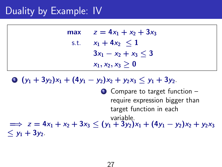| max  | $z = 4x_1 + x_2 + 3x_3$   |
|------|---------------------------|
| s.t. | $x_1 + 4x_2 \leq 1$       |
|      | $3x_1 - x_2 + x_3 \leq 3$ |
|      | $x_1, x_2, x_3 \ge 0$     |

 $\bullet$   $(y_1 + 3y_2)x_1 + (4y_1 - y_2)x_2 + y_2x_3 \leq y_1 + 3y_2$ .

**1** Compare to target function – require expression bigger than target function in each variable.  $\implies$  z = 4x<sub>1</sub> + x<sub>2</sub> + 3x<sub>3</sub> < (y<sub>1</sub> + 3y<sub>2</sub>)x<sub>1</sub> + (4y<sub>1</sub> - y<sub>2</sub>)x<sub>2</sub> + y<sub>2</sub>x<sub>3</sub>  $< y_1 + 3y_2$ .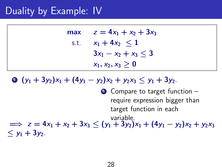| max  | $z = 4x_1 + x_2 + 3x_3$   |
|------|---------------------------|
| s.t. | $x_1 + 4x_2 \leq 1$       |
|      | $3x_1 - x_2 + x_3 \leq 3$ |
|      | $x_1, x_2, x_3 \ge 0$     |

 $\bullet$   $(y_1 + 3y_2)x_1 + (4y_1 - y_2)x_2 + y_2x_3 \leq y_1 + 3y_2$ .

**1** Compare to target function – require expression bigger than target function in each variable.  $\implies$  z = 4x<sub>1</sub> + x<sub>2</sub> + 3x<sub>3</sub> < (y<sub>1</sub> + 3y<sub>2</sub>)x<sub>1</sub> + (4y<sub>1</sub> - y<sub>2</sub>)x<sub>2</sub> + y<sub>2</sub>x<sub>3</sub>  $< y_1 + 3y_2$ .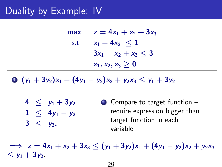| max  | $z = 4x_1 + x_2 + 3x_3$   |
|------|---------------------------|
| s.t. | $x_1 + 4x_2 \leq 1$       |
|      | $3x_1 - x_2 + x_3 \leq 3$ |
|      | $x_1, x_2, x_3 \ge 0$     |

 $\bullet$   $(y_1 + 3y_2)x_1 + (4y_1 - y_2)x_2 + y_2x_3 \leq y_1 + 3y_2$ .

 $4 < y_1 + 3y_2$  $1 \leq 4y_1 - y_2$  $3 < y_2$ . **1** Compare to target function – require expression bigger than target function in each variable.

 $\implies$  z = 4x<sub>1</sub> + x<sub>2</sub> + 3x<sub>3</sub> < (y<sub>1</sub> + 3y<sub>2</sub>)x<sub>1</sub> + (4y<sub>1</sub> - y<sub>2</sub>)x<sub>2</sub> + y<sub>2</sub>x<sub>3</sub>  $< y_1 + 3y_2$ .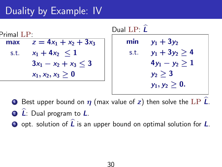| $\mathsf{Primal}~\mathsf{LP} \cdot$ |                           |  |  |
|-------------------------------------|---------------------------|--|--|
| max                                 | $z = 4x_1 + x_2 + 3x_3$   |  |  |
| s.t.                                | $x_1 + 4x_2 \leq 1$       |  |  |
|                                     | $3x_1 - x_2 + x_3 \leq 3$ |  |  |
|                                     | $x_1, x_2, x_3 \geq 0$    |  |  |

Dual LP:  $\hat{I}$ min  $y_1 + 3y_2$ s.t.  $y_1 + 3y_2 \ge 4$  $4y_1 - y_2 > 1$  $y_2 \geq 3$  $y_1, y_2 > 0.$ 

**1** Best upper bound on  $\eta$  (max value of z) then solve the LP  $\hat{L}$ .

- 2 L: Dual program to L.
- $\bullet$  opt. solution of  $\widehat{L}$  is an upper bound on optimal solution for  $L$ .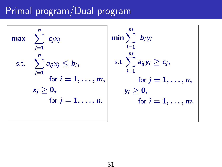# Primal program/Dual program

$$
\begin{array}{ll}\n\text{max} & \sum_{j=1}^{n} c_j x_j \\
\text{s.t.} & \sum_{j=1}^{n} a_{ij} x_j \leq b_i, \\
\text{for } i = 1, \ldots, m, \\
x_j \geq 0, \\
\text{for } j = 1, \ldots, n.\n\end{array}\n\quad\n\begin{array}{ll}\n\text{min} & \sum_{i=1}^{m} b_i y_i \\
\text{s.t.} & \sum_{i=1}^{m} a_{ij} y_i \geq c_j, \\
\text{for } j = 1, \ldots, n, \\
y_i \geq 0, \\
\text{for } i = 1, \ldots, m.\n\end{array}
$$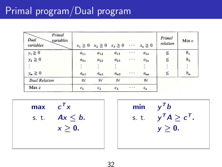## Primal program/Dual program

| Primal<br>Dual<br>variables<br>variables |          |                    | $x_1 \ge 0$ $x_2 \ge 0$ $x_3 \ge 0$ $\cdots$ $x_n \ge 0$ |          |          | Primal<br>relation | Min $v$        |
|------------------------------------------|----------|--------------------|----------------------------------------------------------|----------|----------|--------------------|----------------|
| $y_1 \geq 0$                             | $a_{11}$ | $a_{12}$           | $a_{13}$                                                 | $\cdots$ | $a_{1n}$ | $\leq$             | b <sub>1</sub> |
| $y_2 \ge 0$                              | $a_{21}$ | $a_{22}$           | $a_{23}$                                                 | $\cdots$ | $a_{2n}$ | ≦                  | b <sub>2</sub> |
|                                          |          |                    |                                                          |          |          |                    | ÷              |
| $y_m \geq 0$                             | $a_{m1}$ | $a_{m2}$           | $a_{m3}$                                                 | $\cdots$ | $a_{mn}$ | ≦                  | $b_m$          |
| <b>Dual Relation</b>                     | IIV      | $\mathsf{II} \vee$ | IIV                                                      |          | IIV      |                    |                |
| Max z                                    | $c_{1}$  | c <sub>2</sub>     | $c_3$                                                    | $\cdots$ | $c_n$    |                    |                |

max  $\mathbf{r}_{\mathbf{x}}$ s. t.  $Ax \leq b$ .  $x > 0$ .

min  $y^T b$ s.t.  $y^T A \geq c^T$ .  $y \geq 0$ .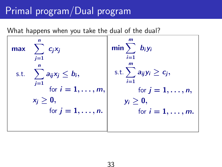## Primal program/Dual program

What happens when you take the dual of the dual?

| max  | $\mathbf n$<br>$\sum c_j x_j$<br>$i=1$     | $\min \sum b_i y_i$<br>$\sum_{i=1}$       |
|------|--------------------------------------------|-------------------------------------------|
| s.t. | n<br>$\sum a_{ij}x_j \leq b_i,$<br>$j=1$   | s.t. $\sum a_{ij}y_i \geq c_j$ ,<br>$i=1$ |
|      | for $i = 1, \ldots, m$ ,<br>$x_j \geq 0$ , | for $j = 1, \ldots, n$ ,<br>$y_i > 0$ ,   |
|      | for $j = 1, \ldots, n$ .                   | for $i = 1, \ldots, m$ .                  |
|      |                                            |                                           |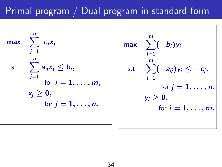# Primal program / Dual program in standard form

$$
\max \sum_{j=1}^{n} c_j x_j
$$
\n
$$
\text{s.t.} \quad \sum_{j=1}^{n} a_{ij} x_j \leq b_i,
$$
\n
$$
\text{for } i = 1, \dots, m,
$$
\n
$$
x_j \geq 0,
$$
\n
$$
\text{for } j = 1, \dots, n.
$$

$$
\max \sum_{i=1}^{m} (-b_i) y_i
$$
\ns.t. 
$$
\sum_{i=1}^{m} (-a_{ij}) y_i \leq -c_j,
$$
\nfor  $j = 1, ..., n$ ,\n
$$
y_i \geq 0,
$$
\nfor  $i = 1, ..., m$ .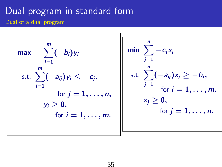### Dual program in standard form Dual of a dual program

$$
\max \sum_{i=1}^{m} (-b_i) y_i
$$
\n
$$
\text{s.t. } \sum_{i=1}^{m} (-a_{ij}) y_i \leq -c_j,
$$
\n
$$
\text{for } j = 1, ..., n,
$$
\n
$$
y_i \geq 0,
$$
\n
$$
\text{for } i = 1, ..., m.
$$

$$
\min \sum_{j=1}^{n} -c_j x_j
$$
\n
$$
\text{s.t. } \sum_{j=1}^{n} (-a_{ij}) x_j \geq -b_i,
$$
\n
$$
\text{for } i = 1, ..., m,
$$
\n
$$
x_j \geq 0,
$$
\n
$$
\text{for } j = 1, ..., n.
$$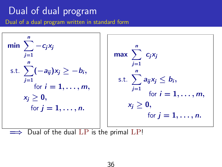## Dual of dual program

Dual of a dual program written in standard form



Dual of the dual  $LP$  is the primal  $LP!$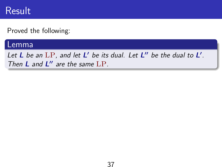### Result

Proved the following:

#### Lemma

Let L be an  $LP$ , and let L' be its dual. Let L" be the dual to L'. Then  $L$  and  $L''$  are the same  $LP$ .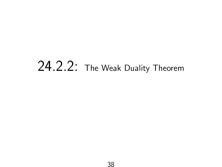# 24.2.2: The Weak Duality Theorem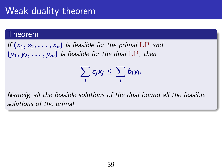## Weak duality theorem

#### Theorem

If  $(x_1, x_2, \ldots, x_n)$  is feasible for the primal LP and  $(y_1, y_2, \ldots, y_m)$  is feasible for the dual LP, then

$$
\sum_j c_j x_j \leq \sum_i b_i y_i.
$$

Namely, all the feasible solutions of the dual bound all the feasible solutions of the primal.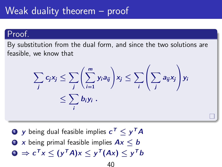### Weak duality theorem – proof

#### Proof.

By substitution from the dual form, and since the two solutions are feasible, we know that

$$
\sum_j c_j x_j \leq \sum_j \left( \sum_{i=1}^m y_i a_{ij} \right) x_j \leq \sum_i \left( \sum_j a_{ij} x_j \right) y_i
$$
  
 
$$
\leq \sum_i b_i y_i .
$$

- $\bf{D}$   $\bf{y}$  being dual feasible implies  $\bf{c}^{\mathsf{T}}\leq \bf{y}^{\mathsf{T}}\bf{A}$
- 2 x being primal feasible implies  $Ax < b$
- $\mathbf{s} \Rightarrow c^{\mathsf{T}} x \leq (y^{\mathsf{T}} A) x \leq y^{\mathsf{T}} (A x) \leq y^{\mathsf{T}} b$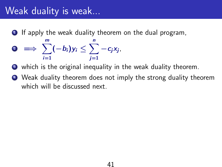### Weak duality is weak...

- **1** If apply the weak duality theorem on the dual program,
- $\sum_{i=1}^{m}(-b_i)y_i\leq \sum_{i=1}^{n} -c_jx_j,$  $i=1$  $i=1$
- <sup>3</sup> which is the original inequality in the weak duality theorem.
- <sup>4</sup> Weak duality theorem does not imply the strong duality theorem which will be discussed next.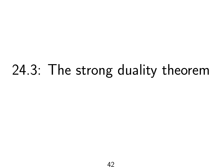# 24.3: The strong duality theorem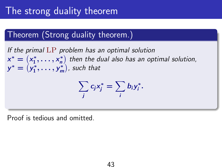## The strong duality theorem

### Theorem (Strong duality theorem.)

If the primal LP problem has an optimal solution  $x^* = (x_1^*, \ldots, x_n^*)$  then the dual also has an optimal solution,  $y^* = (y_1^*, \ldots, y_n^*)$  $y_1^*, \ldots, y_m^*$  $\binom{m}{m}$ , such that

$$
\sum_j c_j x_j^* = \sum_i b_i y_i^*.
$$

Proof is tedious and omitted.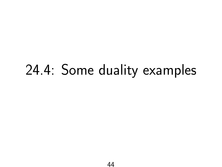# 24.4: Some duality examples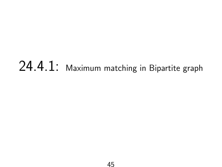# 24.4.1: Maximum matching in Bipartite graph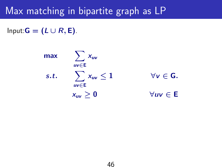### Max matching in bipartite graph as LP

Input: $G = (L \cup R, E)$ .

max  $\sum x_{uv}$  $uv \in E$ s.t.  $\sum$ uv∈E  $x_{uv} \leq 1$   $\forall v \in G$ .  $x_{uv} > 0$   $\forall uv \in E$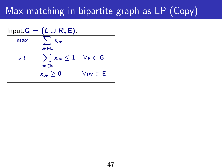## Max matching in bipartite graph as LP (Copy)

$$
\begin{array}{ll}\n\text{Input:} \mathbf{G} &= (\mathbf{L} \cup \mathbf{R}, \mathbf{E}). \\
\hline\n\text{max} & \sum_{uv \in \mathbf{E}} x_{uv} \\
\text{s.t.} & \sum_{uv \in \mathbf{E}} x_{uv} \le 1 \quad \forall v \in \mathbf{G}.\n\end{array}
$$
\n
$$
x_{uv} \ge 0 \qquad \forall uv \in \mathbf{E}
$$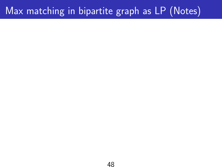## Max matching in bipartite graph as LP (Notes)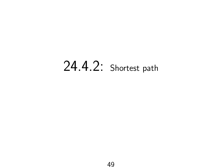# 24.4.2: Shortest path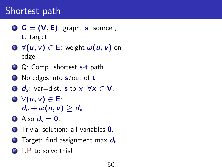# $\mathbf{G} = (\mathbf{V}, \mathbf{E})$ : graph. s: source,

- **2**  $\forall (u, v) \in \mathsf{E}$ : weight  $\omega(u, v)$  on edge.
- **3** Q: Comp. shortest **s-t** path.
- $\bullet$  No edges into s/out of **t**.
- **5**  $d_x$ : var=dist. **s** to x,  $\forall x \in V$ .
- $\Theta$   $\forall$   $(u, v) \in E$ :  $d_u + \omega(u, v) > d_v$ .
- $\bullet$  Also  $d_{s} = 0$ .
- **8** Trivial solution: all variables **0**.
- $\bullet$  Target: find assignment max  $d_{\rm t}$ .
- $LP$  to solve this!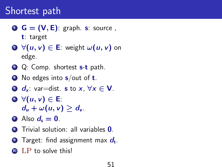# $\mathbf{G} = (\mathbf{V}, \mathbf{E})$ : graph. s: source,

- **2**  $\forall (u, v) \in \mathsf{E}$ : weight  $\omega(u, v)$  on edge.
- **3** Q: Comp. shortest **s-t** path.
- $\bullet$  No edges into s/out of **t**.
- **5**  $d_x$ : var=dist. **s** to x,  $\forall x \in V$ .
- $\Theta$   $\forall$   $(u, v) \in E$ :  $d_u + \omega(u, v) > d_v$ .
- $\bullet$  Also  $d_{s} = 0$ .
- **8** Trivial solution: all variables **0**.
- $\bullet$  Target: find assignment max  $d_{\rm t}$ .
- $LP$  to solve this!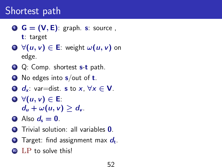# $\mathbf{G} = (\mathbf{V}, \mathbf{E})$ : graph. s: source,

- **2**  $\forall (u, v) \in \mathsf{E}$ : weight  $\omega(u, v)$  on edge.
- **3** Q: Comp. shortest **s-t** path.
- $\bullet$  No edges into s/out of **t**.
- **5**  $d_x$ : var=dist. **s** to x,  $\forall x \in V$ .
- $\Theta$   $\forall$   $(u, v) \in E$ :  $d_u + \omega(u, v) > d_v$ .
- $\bullet$  Also  $d_{s} = 0$ .
- **8** Trivial solution: all variables **0**.
- $\bullet$  Target: find assignment max  $d_{\rm t}$ .
- $LP$  to solve this!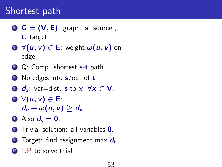# $\mathbf{G} = (\mathbf{V}, \mathbf{E})$ : graph. s: source,

- **2**  $\forall (u, v) \in \mathsf{E}$ : weight  $\omega(u, v)$  on edge.
- **3** Q: Comp. shortest **s-t** path.
- $\bullet$  No edges into s/out of **t**.
- **5**  $d_x$ : var=dist. **s** to x,  $\forall x \in V$ .
- $\Theta$   $\forall$   $(u, v) \in E$ :  $d_u + \omega(u, v) > d_v$ .
- $\bullet$  Also  $d_{s} = 0$ .
- **8** Trivial solution: all variables **0**.
- $\bullet$  Target: find assignment max  $d_{\rm t}$ .
- $LP$  to solve this!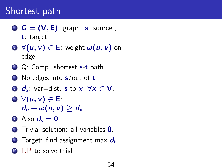# $\mathbf{G} = (\mathbf{V}, \mathbf{E})$ : graph. s: source,

- **2**  $\forall (u, v) \in \mathsf{E}$ : weight  $\omega(u, v)$  on edge.
- **3** Q: Comp. shortest **s-t** path.
- $\bullet$  No edges into s/out of **t**.
- **5**  $d_x$ : var=dist. **s** to x,  $\forall x \in V$ .
- $\Theta$   $\forall$   $(u, v) \in E$ :  $d_u + \omega(u, v) > d_v$ .
- $\bullet$  Also  $d_{s} = 0$ .
- **8** Trivial solution: all variables **0**.
- $\bullet$  Target: find assignment max  $d_{\rm t}$ .
- $LP$  to solve this!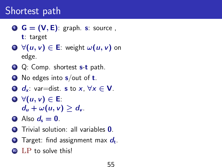# $\mathbf{G} = (\mathbf{V}, \mathbf{E})$ : graph. s: source,

- **2**  $\forall (u, v) \in \mathsf{E}$ : weight  $\omega(u, v)$  on edge.
- **3** Q: Comp. shortest **s-t** path.
- $\bullet$  No edges into s/out of **t**.
- **5**  $d_x$ : var=dist. **s** to x,  $\forall x \in V$ .
- $\Theta$   $\forall$   $(u, v) \in E$ :  $d_u + \omega(u, v) > d_v$ .
- $\bullet$  Also  $d_{s} = 0$ .
- **8** Trivial solution: all variables **0**.
- $\bullet$  Target: find assignment max  $d_{\rm t}$ .
- $LP$  to solve this!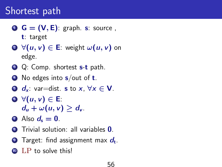# $\mathbf{G} = (\mathbf{V}, \mathbf{E})$ : graph. s: source,

- **2**  $\forall (u, v) \in \mathsf{E}$ : weight  $\omega(u, v)$  on edge.
- **3** Q: Comp. shortest **s-t** path.
- $\bullet$  No edges into s/out of **t**.
- **5**  $d_x$ : var=dist. **s** to x,  $\forall x \in V$ .
- $\Theta$   $\forall$   $(u, v) \in E$ :  $d_u + \omega(u, v) > d_v$ .
- $\bullet$  Also  $d_{s} = 0$ .
- **8** Trivial solution: all variables **0**.
- $\bullet$  Target: find assignment max  $d_{\rm t}$ .
- $LP$  to solve this!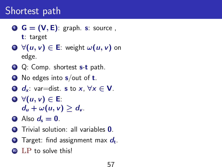# $\mathbf{G} = (\mathbf{V}, \mathbf{E})$ : graph. s: source,

- **2**  $\forall (u, v) \in \mathsf{E}$ : weight  $\omega(u, v)$  on edge.
- **3** Q: Comp. shortest **s-t** path.
- $\bullet$  No edges into s/out of **t**.
- **5**  $d_x$ : var=dist. **s** to x,  $\forall x \in V$ .
- $\Theta$   $\forall$   $(u, v) \in E$ :  $d_u + \omega(u, v) > d_v$ .
- $\bullet$  Also  $d_{s} = 0$ .
- **8** Trivial solution: all variables **0**.
- $\bullet$  Target: find assignment max  $d_{\rm t}$ .
- $LP$  to solve this!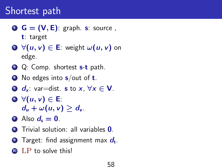# $\mathbf{G} = (\mathbf{V}, \mathbf{E})$ : graph. s: source,

- **2**  $\forall (u, v) \in \mathsf{E}$ : weight  $\omega(u, v)$  on edge.
- **3** Q: Comp. shortest **s-t** path.
- $\bullet$  No edges into s/out of **t**.
- **5**  $d_x$ : var=dist. **s** to x,  $\forall x \in V$ .
- $\Theta$   $\forall$   $(u, v) \in E$ :  $d_u + \omega(u, v) > d_v$ .
- $\bullet$  Also  $d_{s} = 0$ .
- **8** Trivial solution: all variables **0**.
- $\bullet$  Target: find assignment max  $d_{\rm t}$ .
- $LP$  to solve this!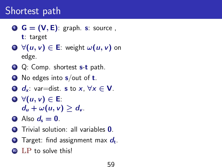# $\mathbf{G} = (\mathbf{V}, \mathbf{E})$ : graph. s: source,

- **2**  $\forall (u, v) \in \mathsf{E}$ : weight  $\omega(u, v)$  on edge.
- **3** Q: Comp. shortest **s-t** path.
- $\bullet$  No edges into s/out of **t**.
- **5**  $d_x$ : var=dist. **s** to x,  $\forall x \in V$ .
- $\Theta$   $\forall$   $(u, v) \in E$ :  $d_u + \omega(u, v) > d_v$ .
- $\bullet$  Also  $d_{s} = 0$ .
- **8** Trivial solution: all variables **0**.
- $\bullet$  Target: find assignment max  $d_{\rm t}$ .
- $LP$  to solve this!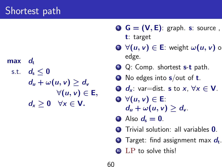$max$  d<sub>t</sub> s.t.  $d_s \leq 0$  $d_u + \omega(u, v) > d_v$  $\forall (u, v) \in E,$  $d_x > 0 \quad \forall x \in V$ .

- $\mathbf{G} = (\mathbf{V}, \mathbf{E})$ : graph. s: source, t: target
- **2**  $\forall (u, v) \in E$ : weight  $\omega(u, v)$  on edge.
- **3** Q: Comp. shortest **s-t** path.
- $\bullet$  No edges into  $s$ /out of **t**.
- **5**  $d_x$ : var=dist. **s** to x,  $\forall x \in V$ .
- $\Theta$   $\forall$   $(u, v) \in E$ :  $d_u + \omega(u, v) > d_v$ .
- $\Omega$  Also  $d_{s} = 0$ .
- **8** Trivial solution: all variables **0**.
- $\bullet$  Target: find assignment max  $d_{\rm t}$ .
- **10** LP to solve this!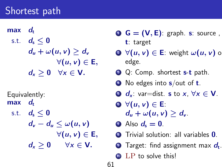$max$  d<sub>t</sub> s.t.  $d_{s} < 0$  $d_u + \omega(u, v) > d_v$  $\forall (u, v) \in E,$  $d_x > 0 \quad \forall x \in V$ .

Equivalently:  $max$  d<sub>t</sub>

> s.t.  $d_s \leq 0$  $d_v - d_u \leq \omega(u, v)$  $\forall (u, v) \in E,$  $d_x > 0$   $\forall x \in V$ .

- $\bullet$   $\bullet$   $\bullet$   $=$   $(V, E)$ : graph. s: source, t: target
- **2**  $\forall (u, v) \in \mathsf{E}$ : weight  $\omega(u, v)$  on edge.
- **3** Q: Comp. shortest **s-t** path.
- $\bullet$  No edges into  $s$ /out of **t**.
- **5**  $d_x$ : var=dist. **s** to  $x, \forall x \in V$ .
- $\Theta$   $\forall$   $(u, v) \in E$ :  $d_u + \omega(u, v) > d_v$ .
- $\bullet$  Also  $d_{s} = 0$ .
- **8** Trivial solution: all variables **0**.
- $\bullet$  Target: find assignment max  $d_{\rm t}$ .
- **10** LP to solve this!

61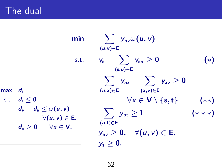The dual

min  
\n
$$
\sum_{(u,v)\in E} y_{uv} \omega(u,v)
$$
\ns.t.  $y_s - \sum_{(s,u)\in E} y_{su} \ge 0$  (\*)  
\n
$$
\sum_{(u,x)\in E} y_{ux} - \sum_{(x,v)\in E} y_{xv} \ge 0
$$
\n
$$
\forall x \in V \setminus \{s,t\} \quad (*)
$$
\nE,  
\n
$$
\sum_{(u,t)\in E} y_{ut} \ge 1
$$
\n
$$
\sum_{(y,v)\in E} y_{uv} \ge 0, \quad \forall (u,v) \in E,
$$
\n
$$
y_s \ge 0.
$$

$$
\begin{aligned}\n\max \quad d_{\mathrm{t}}\\ \n\text{s.t.} \quad d_{\mathrm{s}} &\leq 0\\ \n d_{\mathrm{v}} - d_{\mathrm{u}} &\leq \omega(u, v)\\ \n\forall (u, v) \in \mathsf{E},\\ \n d_{\mathrm{x}} &\geq 0 \qquad \forall \mathrm{x} \in \mathsf{V}.\n\end{aligned}
$$

62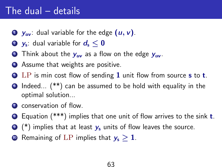### The dual – details

- $\bullet$   $y_{uv}$ : dual variable for the edge  $(u, v)$ .
- $\textbf{y}_{\rm s}$ : dual variable for  $\textbf{\textit{d}}_{\rm s} \leq \textbf{0}$
- **3** Think about the  $y_{uv}$  as a flow on the edge  $y_{uv}$ .
- 4 Assume that weights are positive.
- **EX** LP is min cost flow of sending 1 unit flow from source **s** to **t**.
- $\bullet$  Indeed... (\*\*) can be assumed to be hold with equality in the optimal solution...
- **2** conservation of flow.
- **8** Equation (\*\*\*) implies that one unit of flow arrives to the sink **t**.
- $\bullet$  (\*) implies that at least  $y_s$  units of flow leaves the source.
- **10** Remaining of LP implies that  $y_s > 1$ .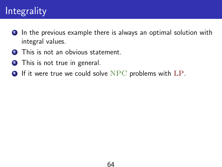## **Integrality**

- **1** In the previous example there is always an optimal solution with integral values.
- 2 This is not an obvious statement.
- **3** This is not true in general.
- $\bullet$  If it were true we could solve NPC problems with  $LP$ .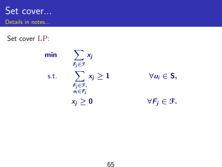Set cover... Details in notes...

Set cover LP:

 $min \quad \nabla$ 

s.t.

$$
\sum_{F_j \in \mathcal{F}} x_j
$$
  

$$
\sum_{\substack{F_j \in \mathcal{F}, \\ u_i \in F_j}} x_j \ge 1
$$
  

$$
x_j \ge 0
$$

 $\forall u_i \in S,$  $\forall F_j \in \mathcal{F}.$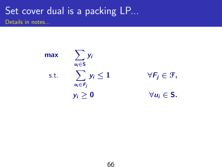### Set cover dual is a packing LP... Details in notes...

max  $\sum$  $u_i$  $\in$ S yi s.t.  $\sum y_i \leq 1$  $u_i \in F_i$ 

 $\forall F_i \in \mathcal{F},$  $y_i \geq 0$   $\forall u_i \in S$ .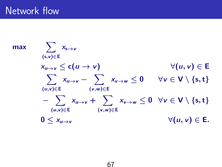### Network flow

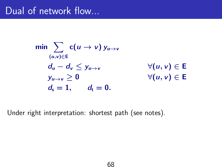### Dual of network flow...

$$
\min \sum_{(u,v)\in \mathsf{E}} \mathsf{c}(u \to v) \, y_{u \to v} \\
 d_u - d_v \leq y_{u \to v} \qquad \forall (u, v) \in \mathsf{E} \\
 y_{u \to v} \geq 0 \qquad \forall (u, v) \in \mathsf{E} \\
 d_s = 1, \qquad d_t = 0.
$$

Under right interpretation: shortest path (see notes).